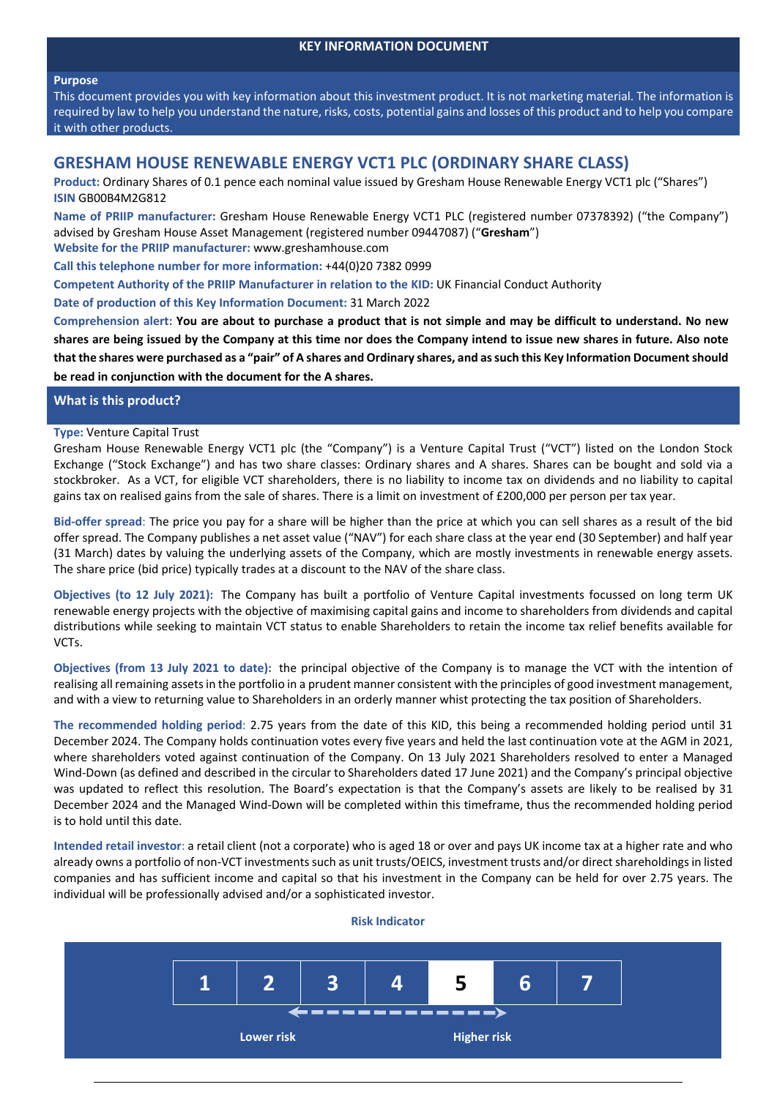### **KEY INFORMATION DOCUMENT**

#### **Purpose**

This document provides you with key information about this investment product. It is not marketing material. The information is required by law to help you understand the nature, risks, costs, potential gains and losses of this product and to help you compare it with other products.

# **GRESHAM HOUSE RENEWABLE ENERGY VCT1 PLC (ORDINARY SHARE CLASS)**

**Product:** Ordinary Shares of 0.1 pence each nominal value issued by Gresham House Renewable Energy VCT1 plc ("Shares") **ISIN** GB00B4M2G812

**Name of PRIIP manufacturer:** Gresham House Renewable Energy VCT1 PLC (registered number 07378392) ("the Company") advised by Gresham House Asset Management (registered number 09447087) ("**Gresham**") **Website for the PRIIP manufacturer:** www.greshamhouse.com

**Call this telephone number for more information:** +44(0)20 7382 0999

**Competent Authority of the PRIIP Manufacturer in relation to the KID:** UK Financial Conduct Authority

**Date of production of this Key Information Document:** 31 March 2022

Comprehension alert: You are about to purchase a product that is not simple and may be difficult to understand. No new shares are being issued by the Company at this time nor does the Company intend to issue new shares in future. Also note that the shares were purchased as a "pair" of A shares and Ordinary shares, and as such this Key Information Document should **be read in conjunction with the document for the A shares.**

### **What is this product?**

### **Type:** Venture Capital Trust

Gresham House Renewable Energy VCT1 plc (the "Company") is a Venture Capital Trust ("VCT") listed on the London Stock Exchange ("Stock Exchange") and has two share classes: Ordinary shares and A shares. Shares can be bought and sold via a stockbroker. As a VCT, for eligible VCT shareholders, there is no liability to income tax on dividends and no liability to capital gains tax on realised gains from the sale of shares. There is a limit on investment of £200,000 per person per tax year.

**Bid‐offer spread**: The price you pay for a share will be higher than the price at which you can sell shares as a result of the bid offer spread. The Company publishes a net asset value ("NAV") for each share class at the year end (30 September) and half year (31 March) dates by valuing the underlying assets of the Company, which are mostly investments in renewable energy assets. The share price (bid price) typically trades at a discount to the NAV of the share class.

**Objectives (to 12 July 2021):** The Company has built a portfolio of Venture Capital investments focussed on long term UK renewable energy projects with the objective of maximising capital gains and income to shareholders from dividends and capital distributions while seeking to maintain VCT status to enable Shareholders to retain the income tax relief benefits available for VCTs.

**Objectives (from 13 July 2021 to date):** the principal objective of the Company is to manage the VCT with the intention of realising all remaining assetsin the portfolio in a prudent manner consistent with the principles of good investment management, and with a view to returning value to Shareholders in an orderly manner whist protecting the tax position of Shareholders.

**The recommended holding period**: 2.75 years from the date of this KID, this being a recommended holding period until 31 December 2024. The Company holds continuation votes every five years and held the last continuation vote at the AGM in 2021, where shareholders voted against continuation of the Company. On 13 July 2021 Shareholders resolved to enter a Managed Wind-Down (as defined and described in the circular to Shareholders dated 17 June 2021) and the Company's principal objective was updated to reflect this resolution. The Board's expectation is that the Company's assets are likely to be realised by 31 December 2024 and the Managed Wind‐Down will be completed within this timeframe, thus the recommended holding period is to hold until this date.

**Intended retail investor**: a retail client (not a corporate) who is aged 18 or over and pays UK income tax at a higher rate and who already owns a portfolio of non-VCT investments such as unit trusts/OEICS, investment trusts and/or direct shareholdings in listed companies and has sufficient income and capital so that his investment in the Company can be held for over 2.75 years. The individual will be professionally advised and/or a sophisticated investor.



### **Risk Indicator**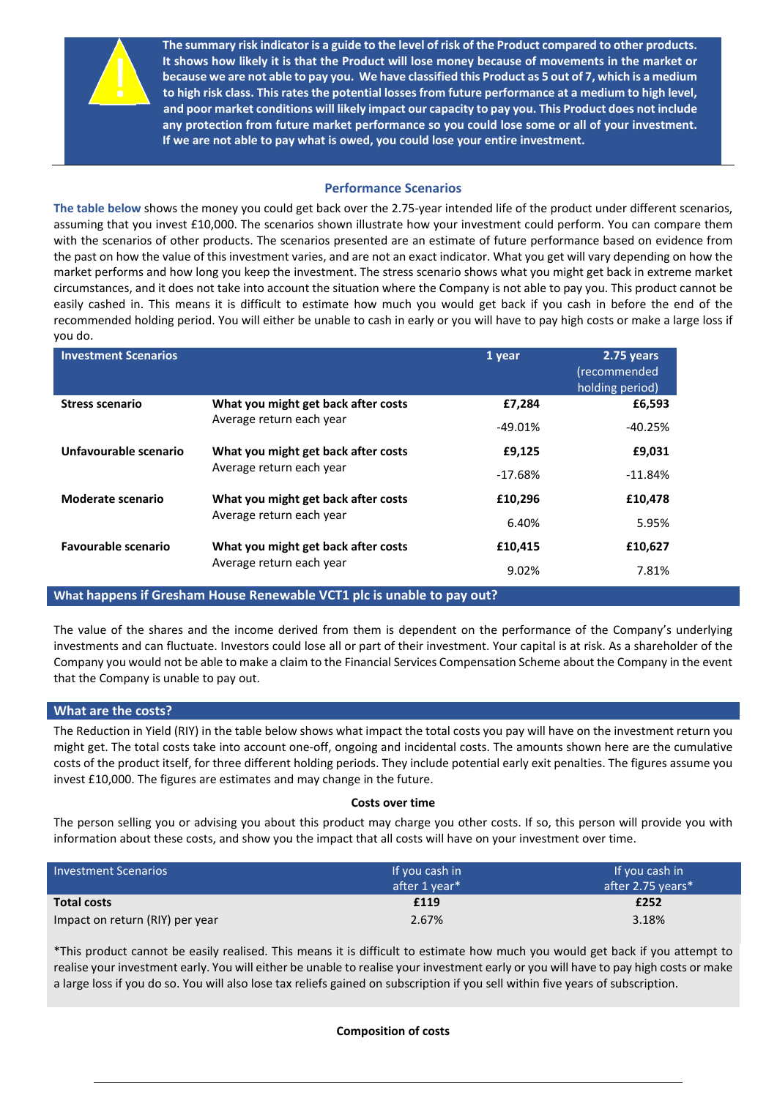

The summary risk indicator is a guide to the level of risk of the Product compared to other products. It shows how likely it is that the Product will lose money because of movements in the market or because we are not able to pay you. We have classified this Product as 5 out of 7, which is a medium **to high risk class. Thisrates the potential losses from future performance at a medium to high level, and poor market conditions will likely impact our capacity to pay you. This Product does not include any protection from future market performance so you could lose some or all of your investment. If we are not able to pay what is owed, you could lose your entire investment.** 

## **Performance Scenarios**

**The table below** shows the money you could get back over the 2.75‐year intended life of the product under different scenarios, assuming that you invest £10,000. The scenarios shown illustrate how your investment could perform. You can compare them with the scenarios of other products. The scenarios presented are an estimate of future performance based on evidence from the past on how the value of this investment varies, and are not an exact indicator. What you get will vary depending on how the market performs and how long you keep the investment. The stress scenario shows what you might get back in extreme market circumstances, and it does not take into account the situation where the Company is not able to pay you. This product cannot be easily cashed in. This means it is difficult to estimate how much you would get back if you cash in before the end of the recommended holding period. You will either be unable to cash in early or you will have to pay high costs or make a large loss if you do.

| <b>Investment Scenarios</b> |                                                                 | 1 year    | $2.75$ years<br>(recommended<br>holding period) |
|-----------------------------|-----------------------------------------------------------------|-----------|-------------------------------------------------|
| <b>Stress scenario</b>      | What you might get back after costs<br>Average return each year | £7,284    | £6,593                                          |
|                             |                                                                 | $-49.01%$ | $-40.25%$                                       |
| Unfavourable scenario       | What you might get back after costs<br>Average return each year | £9,125    | £9,031                                          |
|                             |                                                                 | $-17.68%$ | $-11.84%$                                       |
| Moderate scenario           | What you might get back after costs<br>Average return each year | £10,296   | £10,478                                         |
|                             |                                                                 | 6.40%     | 5.95%                                           |
| <b>Favourable scenario</b>  | What you might get back after costs<br>Average return each year | £10,415   | £10,627                                         |
|                             |                                                                 | 9.02%     | 7.81%                                           |

## **What happens if Gresham House Renewable VCT1 plc is unable to pay out?**

The value of the shares and the income derived from them is dependent on the performance of the Company's underlying investments and can fluctuate. Investors could lose all or part of their investment. Your capital is at risk. As a shareholder of the Company you would not be able to make a claim to the Financial Services Compensation Scheme about the Company in the event that the Company is unable to pay out.

## **What are the costs?**

The Reduction in Yield (RIY) in the table below shows what impact the total costs you pay will have on the investment return you might get. The total costs take into account one‐off, ongoing and incidental costs. The amounts shown here are the cumulative costs of the product itself, for three different holding periods. They include potential early exit penalties. The figures assume you invest £10,000. The figures are estimates and may change in the future.

### **Costs over time**

The person selling you or advising you about this product may charge you other costs. If so, this person will provide you with information about these costs, and show you the impact that all costs will have on your investment over time.

| <b>Investment Scenarios</b>     | If you cash in | If you cash in    |
|---------------------------------|----------------|-------------------|
|                                 | after 1 year*  | after 2.75 years* |
| <b>Total costs</b>              | £119           | £252              |
| Impact on return (RIY) per year | 2.67%          | 3.18%             |

\*This product cannot be easily realised. This means it is difficult to estimate how much you would get back if you attempt to realise your investment early. You will either be unable to realise your investment early or you will have to pay high costs or make a large loss if you do so. You will also lose tax reliefs gained on subscription if you sell within five years of subscription.

### **Composition of costs**